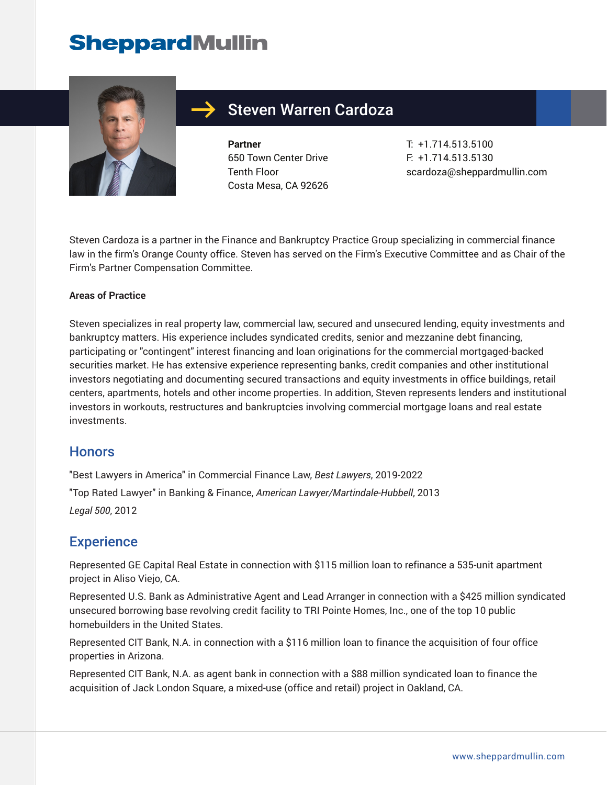# **SheppardMullin**



## Steven Warren Cardoza

**Partner** 650 Town Center Drive Tenth Floor Costa Mesa, CA 92626 T: +1.714.513.5100 F: +1.714.513.5130 scardoza@sheppardmullin.com

Steven Cardoza is a partner in the Finance and Bankruptcy Practice Group specializing in commercial finance law in the firm's Orange County office. Steven has served on the Firm's Executive Committee and as Chair of the Firm's Partner Compensation Committee.

#### **Areas of Practice**

Steven specializes in real property law, commercial law, secured and unsecured lending, equity investments and bankruptcy matters. His experience includes syndicated credits, senior and mezzanine debt financing, participating or "contingent" interest financing and loan originations for the commercial mortgaged-backed securities market. He has extensive experience representing banks, credit companies and other institutional investors negotiating and documenting secured transactions and equity investments in office buildings, retail centers, apartments, hotels and other income properties. In addition, Steven represents lenders and institutional investors in workouts, restructures and bankruptcies involving commercial mortgage loans and real estate investments.

#### **Honors**

"Best Lawyers in America" in Commercial Finance Law, *Best Lawyers*, 2019-2022

"Top Rated Lawyer" in Banking & Finance, *American Lawyer/Martindale-Hubbell*, 2013

*Legal 500*, 2012

### **Experience**

Represented GE Capital Real Estate in connection with \$115 million loan to refinance a 535-unit apartment project in Aliso Viejo, CA.

Represented U.S. Bank as Administrative Agent and Lead Arranger in connection with a \$425 million syndicated unsecured borrowing base revolving credit facility to TRI Pointe Homes, Inc., one of the top 10 public homebuilders in the United States.

Represented CIT Bank, N.A. in connection with a \$116 million loan to finance the acquisition of four office properties in Arizona.

Represented CIT Bank, N.A. as agent bank in connection with a \$88 million syndicated loan to finance the acquisition of Jack London Square, a mixed-use (office and retail) project in Oakland, CA.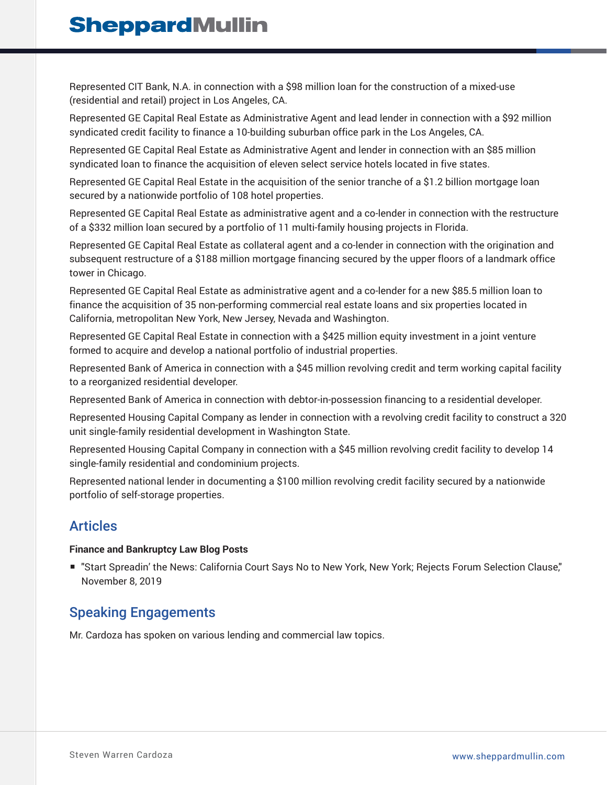Represented CIT Bank, N.A. in connection with a \$98 million loan for the construction of a mixed-use (residential and retail) project in Los Angeles, CA.

Represented GE Capital Real Estate as Administrative Agent and lead lender in connection with a \$92 million syndicated credit facility to finance a 10-building suburban office park in the Los Angeles, CA.

Represented GE Capital Real Estate as Administrative Agent and lender in connection with an \$85 million syndicated loan to finance the acquisition of eleven select service hotels located in five states.

Represented GE Capital Real Estate in the acquisition of the senior tranche of a \$1.2 billion mortgage loan secured by a nationwide portfolio of 108 hotel properties.

Represented GE Capital Real Estate as administrative agent and a co-lender in connection with the restructure of a \$332 million loan secured by a portfolio of 11 multi-family housing projects in Florida.

Represented GE Capital Real Estate as collateral agent and a co-lender in connection with the origination and subsequent restructure of a \$188 million mortgage financing secured by the upper floors of a landmark office tower in Chicago.

Represented GE Capital Real Estate as administrative agent and a co-lender for a new \$85.5 million loan to finance the acquisition of 35 non-performing commercial real estate loans and six properties located in California, metropolitan New York, New Jersey, Nevada and Washington.

Represented GE Capital Real Estate in connection with a \$425 million equity investment in a joint venture formed to acquire and develop a national portfolio of industrial properties.

Represented Bank of America in connection with a \$45 million revolving credit and term working capital facility to a reorganized residential developer.

Represented Bank of America in connection with debtor-in-possession financing to a residential developer.

Represented Housing Capital Company as lender in connection with a revolving credit facility to construct a 320 unit single-family residential development in Washington State.

Represented Housing Capital Company in connection with a \$45 million revolving credit facility to develop 14 single-family residential and condominium projects.

Represented national lender in documenting a \$100 million revolving credit facility secured by a nationwide portfolio of self-storage properties.

## **Articles**

#### **Finance and Bankruptcy Law Blog Posts**

■ "Start Spreadin' the News: California Court Says No to New York, New York; Rejects Forum Selection Clause," November 8, 2019

## Speaking Engagements

Mr. Cardoza has spoken on various lending and commercial law topics.